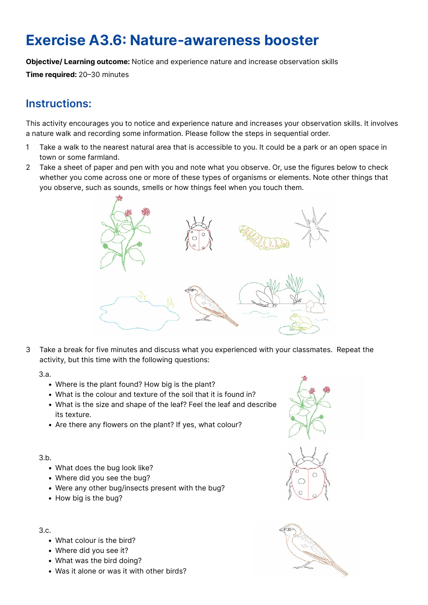# Exercise A3.6: Nature-awareness booster

Objective/ Learning outcome: Notice and experience nature and increase observation skills

Time required: 20–30 minutes

## Instructions:

This activity encourages you to notice and experience nature and increases your observation skills. It involves a nature walk and recording some information. Please follow the steps in sequential order.

- 1 Take a walk to the nearest natural area that is accessible to you. It could be a park or an open space in town or some farmland.
- 2 Take a sheet of paper and pen with you and note what you observe. Or, use the figures below to check whether you come across one or more of these types of organisms or elements. Note other things that you observe, such as sounds, smells or how things feel when you touch them.



3 Take a break for five minutes and discuss what you experienced with your classmates. Repeat the activity, but this time with the following questions:

3.a.

- Where is the plant found? How big is the plant?
- What is the colour and texture of the soil that it is found in?
- What is the size and shape of the leaf? Feel the leaf and describe its texture.
- Are there any flowers on the plant? If yes, what colour?

3.b.

- What does the bug look like?
- Where did you see the bug?
- Were any other bug/insects present with the bug?
- How big is the bug?

### 3.c.

- What colour is the bird?
- Where did you see it?
- What was the bird doing?
- Was it alone or was it with other birds?